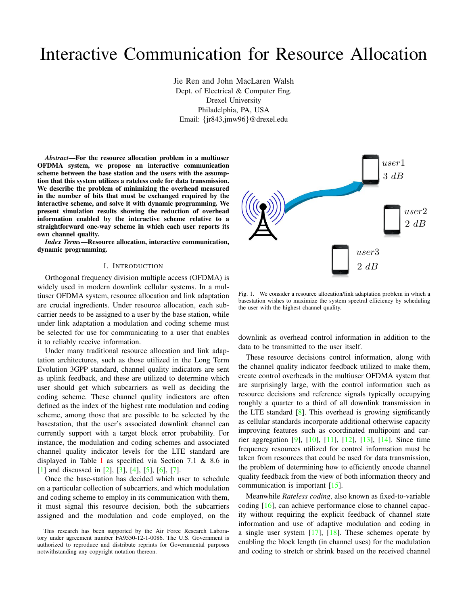# Interactive Communication for Resource Allocation

Jie Ren and John MacLaren Walsh Dept. of Electrical & Computer Eng. Drexel University Philadelphia, PA, USA Email: {jr843,jmw96}@drexel.edu

*Abstract*—For the resource allocation problem in a multiuser OFDMA system, we propose an interactive communication scheme between the base station and the users with the assumption that this system utilizes a rateless code for data transmission. We describe the problem of minimizing the overhead measured in the number of bits that must be exchanged required by the interactive scheme, and solve it with dynamic programming. We present simulation results showing the reduction of overhead information enabled by the interactive scheme relative to a straightforward one-way scheme in which each user reports its own channel quality.

*Index Terms*—Resource allocation, interactive communication, dynamic programming.

#### I. INTRODUCTION

Orthogonal frequency division multiple access (OFDMA) is widely used in modern downlink cellular systems. In a multiuser OFDMA system, resource allocation and link adaptation are crucial ingredients. Under resource allocation, each subcarrier needs to be assigned to a user by the base station, while under link adaptation a modulation and coding scheme must be selected for use for communicating to a user that enables it to reliably receive information.

Under many traditional resource allocation and link adaptation architectures, such as those utilized in the Long Term Evolution 3GPP standard, channel quality indicators are sent as uplink feedback, and these are utilized to determine which user should get which subcarriers as well as deciding the coding scheme. These channel quality indicators are often defined as the index of the highest rate modulation and coding scheme, among those that are possible to be selected by the basestation, that the user's associated downlink channel can currently support with a target block error probability. For instance, the modulation and coding schemes and associated channel quality indicator levels for the LTE standard are displayed in Table [I](#page-1-0) as specified via Section 7.1 & 8.6 in [\[1\]](#page-5-0) and discussed in [\[2\]](#page-5-1), [\[3\]](#page-5-2), [\[4\]](#page-5-3), [\[5\]](#page-5-4), [\[6\]](#page-5-5), [\[7\]](#page-5-6).

Once the base-station has decided which user to schedule on a particular collection of subcarriers, and which modulation and coding scheme to employ in its communication with them, it must signal this resource decision, both the subcarriers assigned and the modulation and code employed, on the



<span id="page-0-0"></span>Fig. 1. We consider a resource allocation/link adaptation problem in which a basestation wishes to maximize the system spectral efficiency by scheduling the user with the highest channel quality.

downlink as overhead control information in addition to the data to be transmitted to the user itself.

These resource decisions control information, along with the channel quality indicator feedback utilized to make them, create control overheads in the multiuser OFDMA system that are surprisingly large, with the control information such as resource decisions and reference signals typically occupying roughly a quarter to a third of all downlink transmission in the LTE standard  $[8]$ . This overhead is growing significantly as cellular standards incorporate additional otherwise capacity improving features such as coordinated multipoint and carrier aggregation [\[9\]](#page-5-8), [\[10\]](#page-5-9), [\[11\]](#page-5-10), [\[12\]](#page-5-11), [\[13\]](#page-5-12), [\[14\]](#page-5-13). Since time frequency resources utilized for control information must be taken from resources that could be used for data transmission, the problem of determining how to efficiently encode channel quality feedback from the view of both information theory and communication is important [\[15\]](#page-5-14).

Meanwhile *Rateless coding*, also known as fixed-to-variable coding [\[16\]](#page-5-15), can achieve performance close to channel capacity without requiring the explicit feedback of channel state information and use of adaptive modulation and coding in a single user system  $[17]$ ,  $[18]$ . These schemes operate by enabling the block length (in channel uses) for the modulation and coding to stretch or shrink based on the received channel

This research has been supported by the Air Force Research Laboratory under agreement number FA9550-12-1-0086. The U.S. Government is authorized to reproduce and distribute reprints for Governmental purposes notwithstanding any copyright notation thereon.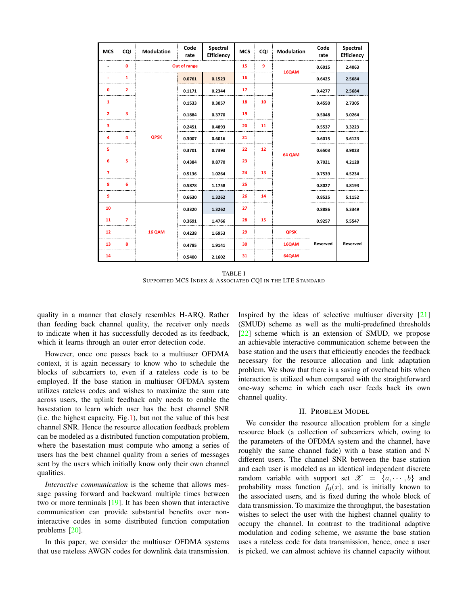| <b>MCS</b>     | CQI            | Modulation   | Code<br>rate | Spectral<br><b>Efficiency</b> | <b>MCS</b> | CQI | Modulation  | Code<br>rate    | Spectral<br>Efficiency |
|----------------|----------------|--------------|--------------|-------------------------------|------------|-----|-------------|-----------------|------------------------|
| ٠              | $\mathbf{0}$   | Out of range |              |                               | 15         | 9   | 16QAM       | 0.6015          | 2.4063                 |
|                | 1              | <b>QPSK</b>  | 0.0761       | 0.1523                        | 16         |     |             | 0.6425          | 2.5684                 |
| $\mathbf 0$    | $\overline{2}$ |              | 0.1171       | 0.2344                        | 17         |     | 64 QAM      | 0.4277          | 2.5684                 |
| 1              |                |              | 0.1533       | 0.3057                        | 18         | 10  |             | 0.4550          | 2.7305                 |
| $\overline{2}$ | 3              |              | 0.1884       | 0.3770                        | 19         |     |             | 0.5048          | 3.0264                 |
| з              |                |              | 0.2451       | 0.4893                        | 20         | 11  |             | 0.5537          | 3.3223                 |
| 4              | 4              |              | 0.3007       | 0.6016                        | 21         |     |             | 0.6015          | 3.6123                 |
| 5              |                |              | 0.3701       | 0.7393                        | 22         | 12  |             | 0.6503          | 3.9023                 |
| 6              | 5              |              | 0.4384       | 0.8770                        | 23         |     |             | 0.7021          | 4.2128                 |
| $\overline{7}$ |                |              | 0.5136       | 1.0264                        | 24         | 13  |             | 0.7539          | 4.5234                 |
| 8              | 6              |              | 0.5878       | 1.1758                        | 25         |     |             | 0.8027          | 4.8193                 |
| 9              |                |              | 0.6630       | 1.3262                        | 26         | 14  |             | 0.8525          | 5.1152                 |
| 10             |                | 16 QAM       | 0.3320       | 1.3262                        | 27         |     |             | 0.8886          | 5.3349                 |
| 11             | $\overline{ }$ |              | 0.3691       | 1.4766                        | 28         | 15  |             | 0.9257          | 5.5547                 |
| 12             |                |              | 0.4238       | 1.6953                        | 29         |     | <b>QPSK</b> | <b>Reserved</b> | Reserved               |
| 13             | 8              |              | 0.4785       | 1.9141                        | 30         |     | 16QAM       |                 |                        |
| 14             |                |              | 0.5400       | 2.1602                        | 31         |     | 64QAM       |                 |                        |

TABLE I SUPPORTED MCS INDEX & ASSOCIATED CQI IN THE LTE STANDARD

<span id="page-1-0"></span>quality in a manner that closely resembles H-ARQ. Rather than feeding back channel quality, the receiver only needs to indicate when it has successfully decoded as its feedback, which it learns through an outer error detection code.

However, once one passes back to a multiuser OFDMA context, it is again necessary to know who to schedule the blocks of subcarriers to, even if a rateless code is to be employed. If the base station in multiuser OFDMA system utilizes rateless codes and wishes to maximize the sum rate across users, the uplink feedback only needs to enable the basestation to learn which user has the best channel SNR (i.e. the highest capacity, Fig[.1\)](#page-0-0), but not the value of this best channel SNR. Hence the resource allocation feedback problem can be modeled as a distributed function computation problem, where the basestation must compute who among a series of users has the best channel quality from a series of messages sent by the users which initially know only their own channel qualities.

*Interactive communication* is the scheme that allows message passing forward and backward multiple times between two or more terminals [\[19\]](#page-5-18). It has been shown that interactive communication can provide substantial benefits over noninteractive codes in some distributed function computation problems [\[20\]](#page-5-19).

In this paper, we consider the multiuser OFDMA systems that use rateless AWGN codes for downlink data transmission. Inspired by the ideas of selective multiuser diversity [\[21\]](#page-5-20) (SMUD) scheme as well as the multi-predefined thresholds [\[22\]](#page-5-21) scheme which is an extension of SMUD, we propose an achievable interactive communication scheme between the base station and the users that efficiently encodes the feedback necessary for the resource allocation and link adaptation problem. We show that there is a saving of overhead bits when interaction is utilized when compared with the straightforward one-way scheme in which each user feeds back its own channel quality.

## II. PROBLEM MODEL

We consider the resource allocation problem for a single resource block (a collection of subcarriers which, owing to the parameters of the OFDMA system and the channel, have roughly the same channel fade) with a base station and N different users. The channel SNR between the base station and each user is modeled as an identical independent discrete random variable with support set  $\mathscr{X} = \{a, \dots, b\}$  and probability mass function  $f_0(x)$ , and is initially known to the associated users, and is fixed during the whole block of data transmission. To maximize the throughput, the basestation wishes to select the user with the highest channel quality to occupy the channel. In contrast to the traditional adaptive modulation and coding scheme, we assume the base station uses a rateless code for data transmission, hence, once a user is picked, we can almost achieve its channel capacity without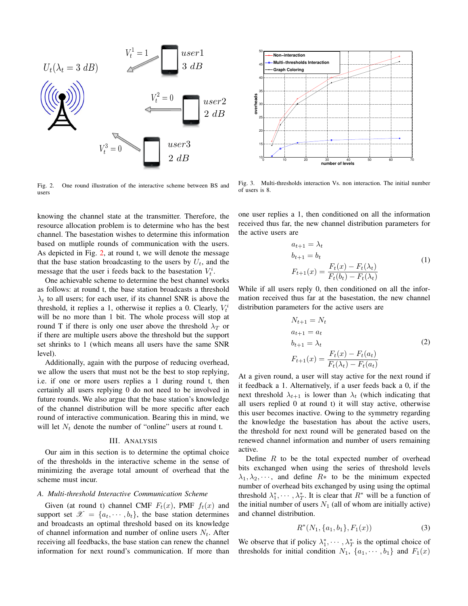

<span id="page-2-0"></span>Fig. 2. One round illustration of the interactive scheme between BS and users

knowing the channel state at the transmitter. Therefore, the resource allocation problem is to determine who has the best channel. The basestation wishes to determine this information based on mutliple rounds of communication with the users. As depicted in Fig. [2,](#page-2-0) at round t, we will denote the message that the base station broadcasting to the users by  $U_t$ , and the message that the user i feeds back to the basestation  $V_t^i$ .

One achievable scheme to determine the best channel works as follows: at round t, the base station broadcasts a threshold  $\lambda_t$  to all users; for each user, if its channel SNR is above the threshold, it replies a 1, otherwise it replies a 0. Clearly,  $V_t^i$ will be no more than 1 bit. The whole process will stop at round T if there is only one user above the threshold  $\lambda_T$  or if there are multiple users above the threshold but the support set shrinks to 1 (which means all users have the same SNR level).

Additionally, again with the purpose of reducing overhead, we allow the users that must not be the best to stop replying, i.e. if one or more users replies a 1 during round t, then certainly all users replying 0 do not need to be involved in future rounds. We also argue that the base station's knowledge of the channel distribution will be more specific after each round of interactive communication. Bearing this in mind, we will let  $N_t$  denote the number of "online" users at round t.

## III. ANALYSIS

Our aim in this section is to determine the optimal choice of the thresholds in the interactive scheme in the sense of minimizing the average total amount of overhead that the scheme must incur.

## *A. Multi-threshold Interactive Communication Scheme*

Given (at round t) channel CMF  $F_t(x)$ , PMF  $f_t(x)$  and support set  $\mathscr{X} = \{a_t, \dots, b_t\}$ , the base station determines and broadcasts an optimal threshold based on its knowledge of channel information and number of online users  $N_t$ . After receiving all feedbacks, the base station can renew the channel information for next round's communication. If more than



<span id="page-2-1"></span>Fig. 3. Multi-thresholds interaction Vs. non interaction. The initial number of users is 8.

one user replies a 1, then conditioned on all the information received thus far, the new channel distribution parameters for the active users are

$$
a_{t+1} = \lambda_t
$$
  
\n
$$
b_{t+1} = b_t
$$
  
\n
$$
F_{t+1}(x) = \frac{F_t(x) - F_t(\lambda_t)}{F_t(b_t) - F_t(\lambda_t)}
$$
\n(1)

While if all users reply 0, then conditioned on all the information received thus far at the basestation, the new channel distribution parameters for the active users are

$$
N_{t+1} = N_t
$$
  
\n
$$
a_{t+1} = a_t
$$
  
\n
$$
b_{t+1} = \lambda_t
$$
  
\n
$$
F_{t+1}(x) = \frac{F_t(x) - F_t(a_t)}{F_t(\lambda_t) - F_t(a_t)}
$$
\n(2)

At a given round, a user will stay active for the next round if it feedback a 1. Alternatively, if a user feeds back a 0, if the next threshold  $\lambda_{t+1}$  is lower than  $\lambda_t$  (which indicating that all users replied 0 at round t) it will stay active, otherwise this user becomes inactive. Owing to the symmetry regarding the knowledge the basestation has about the active users, the threshold for next round will be generated based on the renewed channel information and number of users remaining active.

Define  $R$  to be the total expected number of overhead bits exchanged when using the series of threshold levels  $\lambda_1, \lambda_2, \cdots$ , and define  $R*$  to be the minimum expected number of overhead bits exchanged by using using the optimal threshold  $\lambda_1^*, \dots, \lambda_T^*$ . It is clear that  $R^*$  will be a function of the initial number of users  $N_1$  (all of whom are initially active) and channel distribution.

$$
R^*(N_1, \{a_1, b_1\}, F_1(x)) \tag{3}
$$

We observe that if policy  $\lambda_1^*, \cdots, \lambda_T^*$  is the optimal choice of thresholds for initial condition  $N_1$ ,  $\{a_1, \dots, b_1\}$  and  $F_1(x)$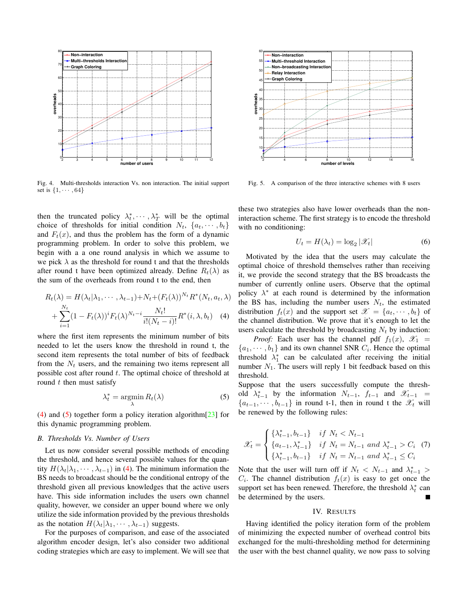

<span id="page-3-2"></span>Fig. 4. Multi-thresholds interaction Vs. non interaction. The initial support set is  $\{1, \cdots, 64\}$ 

then the truncated policy  $\lambda_t^*, \dots, \lambda_T^*$  will be the optimal choice of thresholds for initial condition  $N_t$ ,  $\{a_t, \dots, b_t\}$ and  $F_t(x)$ , and thus the problem has the form of a dynamic programming problem. In order to solve this problem, we begin with a a one round analysis in which we assume to we pick  $\lambda$  as the threshold for round t and that the thresholds after round t have been optimized already. Define  $R_t(\lambda)$  as the sum of the overheads from round t to the end, then

$$
R_t(\lambda) = H(\lambda_t | \lambda_1, \cdots, \lambda_{t-1}) + N_t + (F_t(\lambda))^{N_t} R^*(N_t, a_t, \lambda)
$$
  
+ 
$$
\sum_{i=1}^{N_t} (1 - F_t(\lambda))^i F_t(\lambda)^{N_t - i} \frac{N_t!}{i!(N_t - i)!} R^*(i, \lambda, b_t) \quad (4)
$$

where the first item represents the minimum number of bits needed to let the users know the threshold in round t, the second item represents the total number of bits of feedback from the  $N_t$  users, and the remaining two items represent all possible cost after round t. The optimal choice of threshold at round  $t$  then must satisfy

<span id="page-3-1"></span>
$$
\lambda_t^* = \operatorname*{argmin}_{\lambda} R_t(\lambda) \tag{5}
$$

[\(4\)](#page-3-0) and [\(5\)](#page-3-1) together form a policy iteration algorithm[\[23\]](#page-5-22) for this dynamic programming problem.

# *B. Thresholds Vs. Number of Users*

Let us now consider several possible methods of encoding the threshold, and hence several possible values for the quantity  $H(\lambda_t|\lambda_1,\dots,\lambda_{t-1})$  in [\(4\)](#page-3-0). The minimum information the BS needs to broadcast should be the conditional entropy of the threshold given all previous knowledges that the active users have. This side information includes the users own channel quality, however, we consider an upper bound where we only utilize the side information provided by the previous thresholds as the notation  $H(\lambda_t|\lambda_1,\dots,\lambda_{t-1})$  suggests.

For the purposes of comparison, and ease of the associated algorithm encoder design, let's also consider two additional coding strategies which are easy to implement. We will see that



<span id="page-3-3"></span>Fig. 5. A comparison of the three interactive schemes with 8 users

these two strategies also have lower overheads than the noninteraction scheme. The first strategy is to encode the threshold with no conditioning:

$$
U_t = H(\lambda_t) = \log_2 |\mathcal{X}_t| \tag{6}
$$

Motivated by the idea that the users may calculate the optimal choice of threshold themselves rather than receiving it, we provide the second strategy that the BS broadcasts the number of currently online users. Observe that the optimal policy  $\lambda^*$  at each round is determined by the information the BS has, including the number users  $N_t$ , the estimated distribution  $f_t(x)$  and the support set  $\mathscr{X} = \{a_t, \dots, b_t\}$  of the channel distribution. We prove that it's enough to let the users calculate the threshold by broadcasting  $N_t$  by induction:

<span id="page-3-0"></span>*Proof:* Each user has the channel pdf  $f_1(x)$ ,  $\mathcal{X}_1$  =  $\{a_1, \dots, b_1\}$  and its own channel SNR  $C_i$ . Hence the optimal threshold  $\lambda_1^*$  can be calculated after receiving the initial number  $N_1$ . The users will reply 1 bit feedback based on this threshold.

Suppose that the users successfully compute the threshold  $\lambda_{t-1}^*$  by the information  $N_{t-1}$ ,  $f_{t-1}$  and  $\mathscr{X}_{t-1}$  =  ${a_{t-1}, \dots, b_{t-1}}$  in round t-1, then in round t the  $\mathscr{X}_t$  will be renewed by the following rules:

$$
\mathcal{X}_t = \begin{cases} \{\lambda_{t-1}^*, b_{t-1}\} & \text{if } N_t < N_{t-1} \\ \{a_{t-1}, \lambda_{t-1}^*\} & \text{if } N_t = N_{t-1} \text{ and } \lambda_{t-1}^* > C_i \end{cases} \tag{7}
$$
\n
$$
\{\lambda_{t-1}^*, b_{t-1}\} & \text{if } N_t = N_{t-1} \text{ and } \lambda_{t-1}^* \le C_i
$$

Note that the user will turn off if  $N_t$  <  $N_{t-1}$  and  $\lambda_{t-1}^*$  >  $C_i$ . The channel distribution  $f_t(x)$  is easy to get once the support set has been renewed. Therefore, the threshold  $\lambda_t^*$  can be determined by the users.

#### IV. RESULTS

Having identified the policy iteration form of the problem of minimizing the expected number of overhead control bits exchanged for the multi-thresholding method for determining the user with the best channel quality, we now pass to solving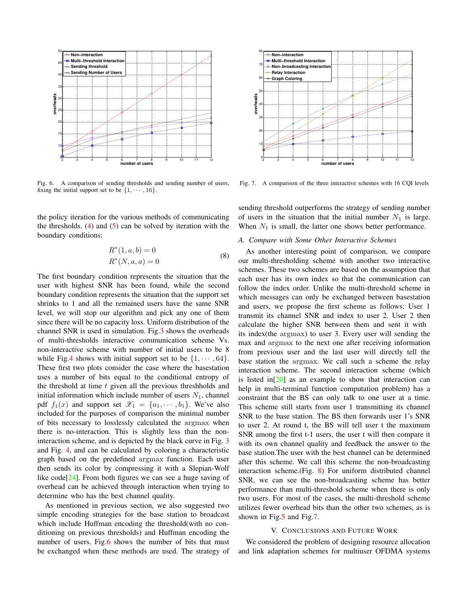

<span id="page-4-0"></span>Fig. 6. A comparison of sending thresholds and sending number of users, fixing the initial support set to be  $\{1, \dots, 16\}$ .

the policy iteration for the various methods of communicating the thresholds.  $(4)$  and  $(5)$  can be solved by iteration with the boundary conditions:

$$
R^*(1, a, b) = 0
$$
  

$$
R^*(N, a, a) = 0
$$
 (8)

The first boundary condition represents the situation that the user with highest SNR has been found, while the second boundary condition represents the situation that the support set shrinks to 1 and all the remained users have the same SNR level, we will stop our algorithm and pick any one of them since there will be no capacity loss. Uniform distribution of the channel SNR is used in simulation. Fig[.3](#page-2-1) shows the overheads of multi-thresholds interactive communication scheme Vs. non-interactive scheme with number of initial users to be 8 while Fig[.4](#page-3-2) shows with initial support set to be  $\{1, \dots, 64\}$ . These first two plots consider the case where the basestation uses a number of bits equal to the conditional entropy of the threshold at time  $t$  given all the previous threshholds and initial information which include number of users  $N_1$ , channel pdf  $f_1(x)$  and support set  $\mathscr{X}_1 = \{a_1, \dots, b_1\}$ . We've also included for the purposes of comparison the minimal number of bits necessary to losslessly calculated the argmax when there is no-interaction. This is slightly less than the noninteraction scheme, and is depicted by the black curve in Fig. [3](#page-2-1) and Fig. [4,](#page-3-2) and can be calculated by coloring a characteristic graph based on the predefined argmax function. Each user then sends its color by compressing it with a Slepian-Wolf like code<sup>[\[24\]](#page-5-23)</sup>. From both figures we can see a huge saving of overhead can be achieved through interaction when trying to determine who has the best channel quality.

As mentioned in previous section, we also suggested two simple encoding strategies for the base station to broadcast which include Huffman encoding the threshold(with no conditioning on previous thresholds) and Huffman encoding the number of users. Fig[.6](#page-4-0) shows the number of bits that must be exchanged when these methods are used. The strategy of



<span id="page-4-1"></span>Fig. 7. A comparison of the three interactive schemes with 16 CQI levels

sending threshold outperforms the strategy of sending number of users in the situation that the initial number  $N_1$  is large. When  $N_1$  is small, the latter one shows better performance.

# *A. Compare with Some Other Interactive Schemes*

As another interesting point of comparison, we compare our multi-thresholding scheme with another two interactive schemes. These two schemes are based on the assumption that each user has its own index so that the communication can follow the index order. Unlike the multi-threshold scheme in which messages can only be exchanged between basestation and users, we propose the first scheme as follows: User 1 transmit its channel SNR and index to user 2. User 2 then calculate the higher SNR between them and sent it with its index(the argmax) to user 3. Every user will sending the max and argmax to the next one after receiving information from previous user and the last user will directly tell the base station the argmax. We call such a scheme the relay interaction scheme. The second interaction scheme (which is listed in $[20]$  as an example to show that interaction can help in multi-terminal function computation problem) has a constraint that the BS can only talk to one user at a time. This scheme still starts from user 1 transmitting its channel SNR to the base station. The BS then forwards user 1's SNR to user 2. At round t, the BS will tell user t the maximum SNR among the first t-1 users, the user t will then compare it with its own channel quality and feedback the answer to the base station.The user with the best channel can be determined after this scheme. We call this scheme the non-broadcasting interaction scheme.(Fig. [8\)](#page-5-24) For uniform distributed channel SNR, we can see the non-broadcasting scheme has better performance than multi-threshold scheme when there is only two users. For most of the cases, the multi-threshold scheme utilizes fewer overhead bits than the other two schemes, as is shown in Fig[.5](#page-3-3) and Fig[.7.](#page-4-1)

## V. CONCLUSIONS AND FUTURE WORK

We considered the problem of designing resource allocation and link adaptation schemes for multiuser OFDMA systems